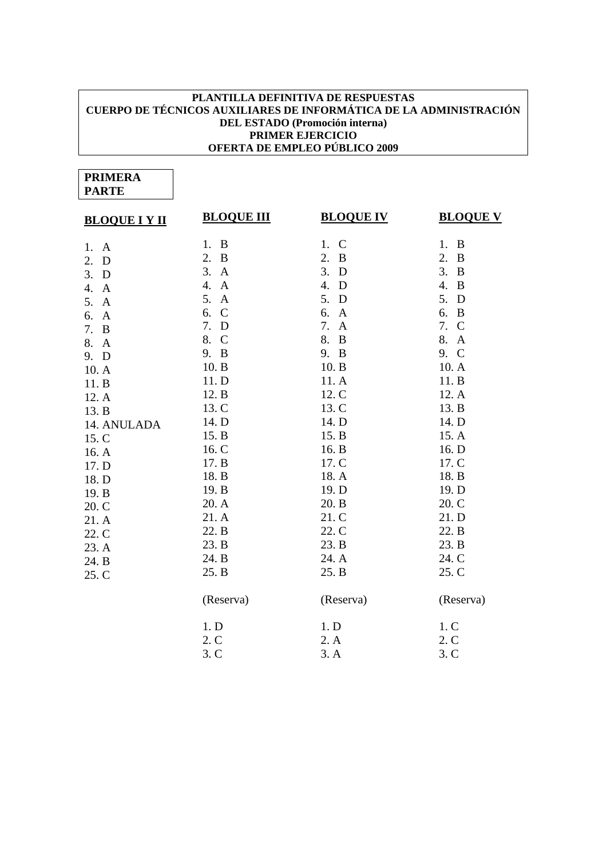## **PLANTILLA DEFINITIVA DE RESPUESTAS CUERPO DE TÉCNICOS AUXILIARES DE INFORMÁTICA DE LA ADMINISTRACIÓN DEL ESTADO (Promoción interna) PRIMER EJERCICIO OFERTA DE EMPLEO PÚBLICO 2009**

## **PRIMERA PARTE**

| <b>BLOQUE I Y II</b> | <b>BLOQUE III</b>   | <b>BLOQUE IV</b>   | <b>BLOQUE V</b>     |
|----------------------|---------------------|--------------------|---------------------|
| 1.<br>A              | 1. B                | 1. C               | 1. B                |
| 2.<br>D              | 2.<br>$\bf{B}$      | 2.<br>$\bf{B}$     | 2.<br>$\mathbf B$   |
| 3.<br>D              | 3.<br>$\mathbf{A}$  | 3.<br>D            | 3.<br>B             |
| 4.<br>$\mathbf{A}$   | 4.<br>$\mathbf{A}$  | 4.<br>D            | 4.<br>B             |
| 5.<br>$\mathbf{A}$   | 5.<br>$\mathbf{A}$  | 5.<br>D            | 5.<br>D             |
| 6.<br>A              | 6.<br>$\mathcal{C}$ | 6.<br>$\mathbf{A}$ | 6.<br>B             |
| 7.<br>$\bf{B}$       | 7.<br>D             | 7.<br>$\mathbf{A}$ | 7.<br>$\mathcal{C}$ |
| 8.<br>$\mathbf{A}$   | 8.<br>$\mathbf C$   | 8.<br>$\bf{B}$     | 8. A                |
| 9. D                 | 9. B                | 9. B               | 9. C                |
| 10.A                 | 10. B               | 10. B              | 10. A               |
| 11.B                 | 11. D               | 11. A              | 11. B               |
| 12. A                | 12. B               | 12. C              | 12. A               |
| 13. B                | 13. C               | 13. C              | 13. B               |
| 14. ANULADA          | 14. D               | 14. D              | 14. D               |
| 15. C                | 15. B               | 15. B              | 15. A               |
| 16. A                | 16. C               | 16. B              | 16. D               |
| 17. D                | 17. B               | 17. C              | 17. C               |
| 18. D                | 18. B               | 18. A              | 18. B               |
| 19. B                | 19. B               | 19. D              | 19. D               |
| 20. C                | 20. A               | 20. B              | 20. C               |
| 21. A                | 21. A               | 21. C              | 21. D               |
| 22. C                | 22. B               | 22. C              | 22. B               |
| 23. A                | 23. B               | 23. B              | 23. B               |
| 24. B                | 24. B               | 24. A              | 24. C               |
| 25. C                | 25. B               | 25. B              | 25. C               |
|                      | (Reserva)           | (Reserva)          | (Reserva)           |
|                      | 1. D                | 1. D               | 1. C                |
|                      | 2.C                 | 2. A               | 2. C                |
|                      | 3. C                | 3. A               | 3. C                |